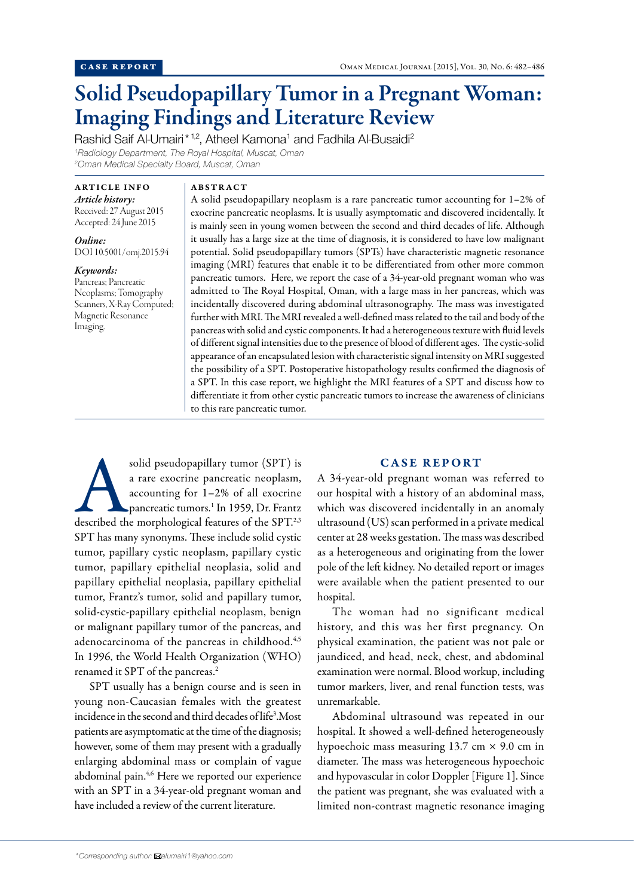# Solid Pseudopapillary Tumor in a Pregnant Woman: Imaging Findings and Literature Review

Rashid Saif Al-Umairi\*<sup>1,2</sup>, Atheel Kamona<sup>1</sup> and Fadhila Al-Busaidi<sup>2</sup> *1 Radiology Department, The Royal Hospital, Muscat, Oman 2 Oman Medical Specialty Board, Muscat, Oman*

# ARTICLE INFO

*Article history:*  Received: 27 August 2015 Accepted: 24 June 2015

*Online:* DOI 10.5001/omj.2015.94

*Keywords:*  Pancreas; Pancreatic Neoplasms; Tomography Scanners, X-Ray Computed; Magnetic Resonance Imaging.

#### ABSTRACT

A solid pseudopapillary neoplasm is a rare pancreatic tumor accounting for 1–2% of exocrine pancreatic neoplasms. It is usually asymptomatic and discovered incidentally. It is mainly seen in young women between the second and third decades of life. Although it usually has a large size at the time of diagnosis, it is considered to have low malignant potential. Solid pseudopapillary tumors (SPTs) have characteristic magnetic resonance imaging (MRI) features that enable it to be differentiated from other more common pancreatic tumors. Here, we report the case of a 34-year-old pregnant woman who was admitted to The Royal Hospital, Oman, with a large mass in her pancreas, which was incidentally discovered during abdominal ultrasonography. The mass was investigated further with MRI. The MRI revealed a well-defined mass related to the tail and body of the pancreas with solid and cystic components. It had a heterogeneous texture with fluid levels of different signal intensities due to the presence of blood of different ages. The cystic-solid appearance of an encapsulated lesion with characteristic signal intensity on MRI suggested the possibility of a SPT. Postoperative histopathology results confirmed the diagnosis of a SPT. In this case report, we highlight the MRI features of a SPT and discuss how to differentiate it from other cystic pancreatic tumors to increase the awareness of clinicians to this rare pancreatic tumor.

solid pseudopapillary tumor (SPT) is<br>
a rare exocrine pancreatic neoplasm,<br>
accounting for 1-2% of all exocrine<br>
pancreatic tumors.<sup>1</sup> In 1959, Dr. Frantz<br>
described the morphological features of the SPT.<sup>2,3</sup> a rare exocrine pancreatic neoplasm, accounting for 1–2% of all exocrine pancreatic tumors.<sup>1</sup> In 1959, Dr. Frantz SPT has many synonyms. These include solid cystic tumor, papillary cystic neoplasm, papillary cystic tumor, papillary epithelial neoplasia, solid and papillary epithelial neoplasia, papillary epithelial tumor, Frantz's tumor, solid and papillary tumor, solid-cystic-papillary epithelial neoplasm, benign or malignant papillary tumor of the pancreas, and adenocarcinoma of the pancreas in childhood.<sup>4,5</sup> In 1996, the World Health Organization (WHO) renamed it SPT of the pancreas.2

SPT usually has a benign course and is seen in young non-Caucasian females with the greatest incidence in the second and third decades of life3 .Most patients are asymptomatic at the time of the diagnosis; however, some of them may present with a gradually enlarging abdominal mass or complain of vague abdominal pain.<sup>4,6</sup> Here we reported our experience with an SPT in a 34-year-old pregnant woman and have included a review of the current literature.

## CASE REPORT

A 34-year-old pregnant woman was referred to our hospital with a history of an abdominal mass, which was discovered incidentally in an anomaly ultrasound (US) scan performed in a private medical center at 28 weeks gestation. The mass was described as a heterogeneous and originating from the lower pole of the left kidney. No detailed report or images were available when the patient presented to our hospital.

The woman had no significant medical history, and this was her first pregnancy. On physical examination, the patient was not pale or jaundiced, and head, neck, chest, and abdominal examination were normal. Blood workup, including tumor markers, liver, and renal function tests, was unremarkable.

Abdominal ultrasound was repeated in our hospital. It showed a well-defined heterogeneously hypoechoic mass measuring  $13.7 \text{ cm} \times 9.0 \text{ cm}$  in diameter. The mass was heterogeneous hypoechoic and hypovascular in color Doppler [Figure 1]. Since the patient was pregnant, she was evaluated with a limited non-contrast magnetic resonance imaging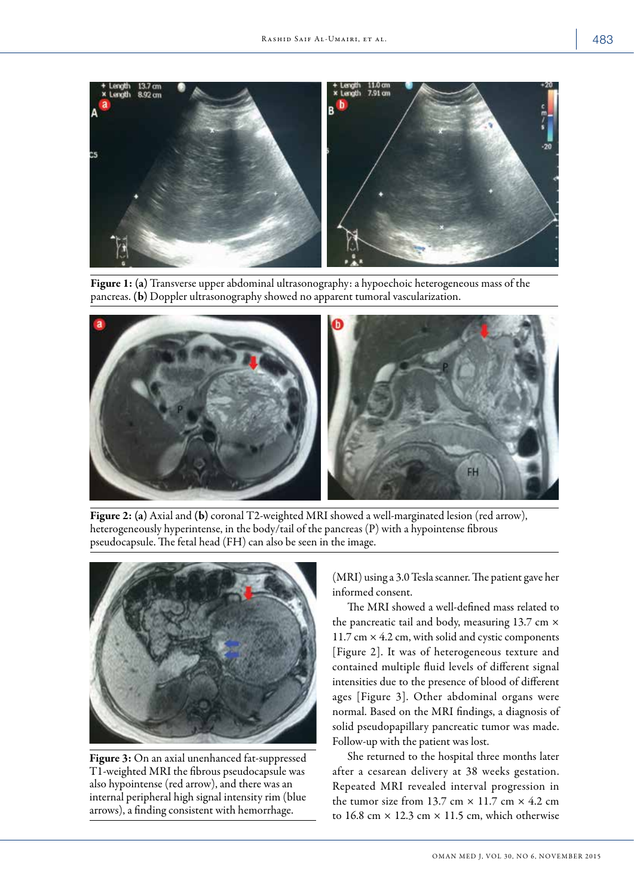

Figure 1: (a) Transverse upper abdominal ultrasonography: a hypoechoic heterogeneous mass of the pancreas. (b) Doppler ultrasonography showed no apparent tumoral vascularization.



Figure 2: (a) Axial and (b) coronal T2-weighted MRI showed a well-marginated lesion (red arrow), heterogeneously hyperintense, in the body/tail of the pancreas (P) with a hypointense fibrous pseudocapsule. The fetal head (FH) can also be seen in the image.



Figure 3: On an axial unenhanced fat-suppressed T1-weighted MRI the fibrous pseudocapsule was also hypointense (red arrow), and there was an internal peripheral high signal intensity rim (blue arrows), a finding consistent with hemorrhage.

(MRI) using a 3.0 Tesla scanner. The patient gave her informed consent.

The MRI showed a well-defined mass related to the pancreatic tail and body, measuring 13.7 cm × 11.7 cm  $\times$  4.2 cm, with solid and cystic components [Figure 2]. It was of heterogeneous texture and contained multiple fluid levels of different signal intensities due to the presence of blood of different ages [Figure 3]. Other abdominal organs were normal. Based on the MRI findings, a diagnosis of solid pseudopapillary pancreatic tumor was made. Follow-up with the patient was lost.

She returned to the hospital three months later after a cesarean delivery at 38 weeks gestation. Repeated MRI revealed interval progression in the tumor size from 13.7 cm  $\times$  11.7 cm  $\times$  4.2 cm to 16.8 cm  $\times$  12.3 cm  $\times$  11.5 cm, which otherwise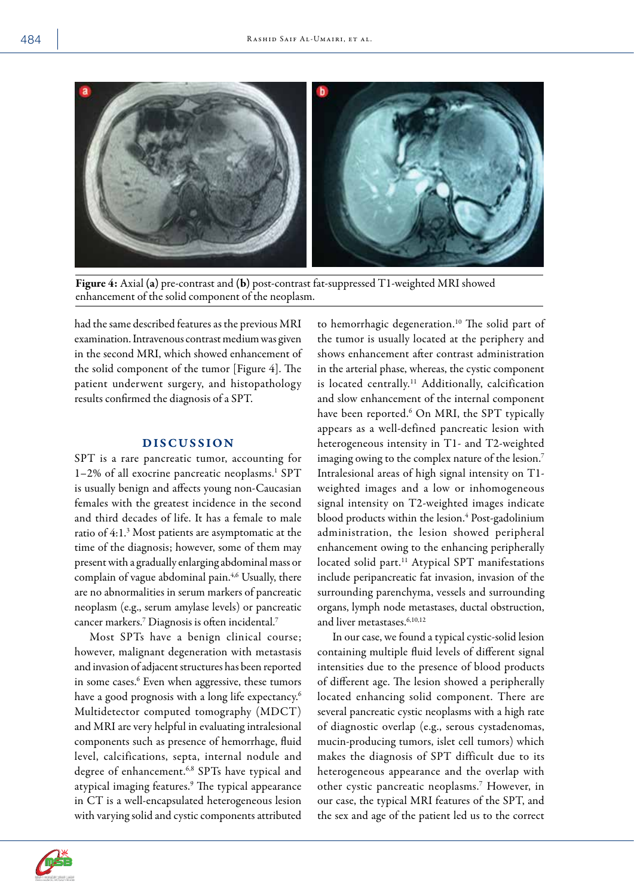

Figure 4: Axial (a) pre-contrast and (b) post-contrast fat-suppressed T1-weighted MRI showed enhancement of the solid component of the neoplasm.

had the same described features as the previous MRI examination. Intravenous contrast medium was given in the second MRI, which showed enhancement of the solid component of the tumor [Figure 4]. The patient underwent surgery, and histopathology results confirmed the diagnosis of a SPT.

### DISCUSSION

SPT is a rare pancreatic tumor, accounting for 1-2% of all exocrine pancreatic neoplasms.<sup>1</sup> SPT is usually benign and affects young non-Caucasian females with the greatest incidence in the second and third decades of life. It has a female to male ratio of 4:1.<sup>3</sup> Most patients are asymptomatic at the time of the diagnosis; however, some of them may present with a gradually enlarging abdominal mass or complain of vague abdominal pain.<sup>4,6</sup> Usually, there are no abnormalities in serum markers of pancreatic neoplasm (e.g., serum amylase levels) or pancreatic cancer markers.7 Diagnosis is often incidental.7

Most SPTs have a benign clinical course; however, malignant degeneration with metastasis and invasion of adjacent structures has been reported in some cases.<sup>6</sup> Even when aggressive, these tumors have a good prognosis with a long life expectancy.<sup>6</sup> Multidetector computed tomography (MDCT) and MRI are very helpful in evaluating intralesional components such as presence of hemorrhage, fluid level, calcifications, septa, internal nodule and degree of enhancement.6,8 SPTs have typical and atypical imaging features.9 The typical appearance in CT is a well-encapsulated heterogeneous lesion with varying solid and cystic components attributed

to hemorrhagic degeneration.10 The solid part of the tumor is usually located at the periphery and shows enhancement after contrast administration in the arterial phase, whereas, the cystic component is located centrally.<sup>11</sup> Additionally, calcification and slow enhancement of the internal component have been reported.<sup>6</sup> On MRI, the SPT typically appears as a well-defined pancreatic lesion with heterogeneous intensity in T1- and T2-weighted imaging owing to the complex nature of the lesion.<sup>7</sup> Intralesional areas of high signal intensity on T1 weighted images and a low or inhomogeneous signal intensity on T2-weighted images indicate blood products within the lesion.<sup>4</sup> Post-gadolinium administration, the lesion showed peripheral enhancement owing to the enhancing peripherally located solid part.<sup>11</sup> Atypical SPT manifestations include peripancreatic fat invasion, invasion of the surrounding parenchyma, vessels and surrounding organs, lymph node metastases, ductal obstruction, and liver metastases.6,10,12

In our case, we found a typical cystic-solid lesion containing multiple fluid levels of different signal intensities due to the presence of blood products of different age. The lesion showed a peripherally located enhancing solid component. There are several pancreatic cystic neoplasms with a high rate of diagnostic overlap (e.g., serous cystadenomas, mucin-producing tumors, islet cell tumors) which makes the diagnosis of SPT difficult due to its heterogeneous appearance and the overlap with other cystic pancreatic neoplasms.7 However, in our case, the typical MRI features of the SPT, and the sex and age of the patient led us to the correct

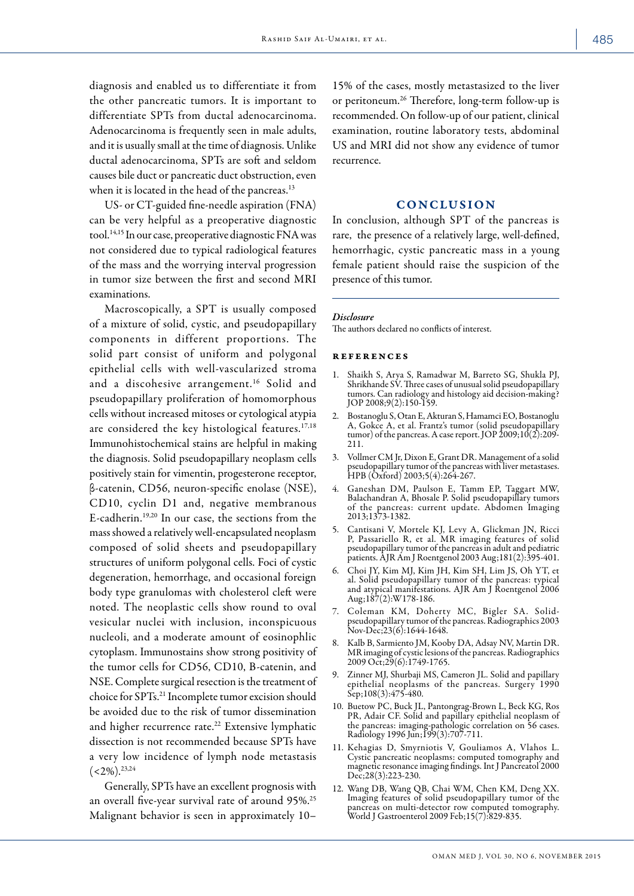diagnosis and enabled us to differentiate it from the other pancreatic tumors. It is important to differentiate SPTs from ductal adenocarcinoma. Adenocarcinoma is frequently seen in male adults, and it is usually small at the time of diagnosis. Unlike ductal adenocarcinoma, SPTs are soft and seldom causes bile duct or pancreatic duct obstruction, even when it is located in the head of the pancreas.<sup>13</sup>

US- or CT-guided fine-needle aspiration (FNA) can be very helpful as a preoperative diagnostic tool.14,15 In our case, preoperative diagnostic FNA was not considered due to typical radiological features of the mass and the worrying interval progression in tumor size between the first and second MRI examinations.

Macroscopically, a SPT is usually composed of a mixture of solid, cystic, and pseudopapillary components in different proportions. The solid part consist of uniform and polygonal epithelial cells with well-vascularized stroma and a discohesive arrangement.<sup>16</sup> Solid and pseudopapillary proliferation of homomorphous cells without increased mitoses or cytological atypia are considered the key histological features.<sup>17,18</sup> Immunohistochemical stains are helpful in making the diagnosis. Solid pseudopapillary neoplasm cells positively stain for vimentin, progesterone receptor, β-catenin, CD56, neuron-specific enolase (NSE), CD10, cyclin D1 and, negative membranous E-cadherin.19,20 In our case, the sections from the mass showed a relatively well-encapsulated neoplasm composed of solid sheets and pseudopapillary structures of uniform polygonal cells. Foci of cystic degeneration, hemorrhage, and occasional foreign body type granulomas with cholesterol cleft were noted. The neoplastic cells show round to oval vesicular nuclei with inclusion, inconspicuous nucleoli, and a moderate amount of eosinophlic cytoplasm. Immunostains show strong positivity of the tumor cells for CD56, CD10, B-catenin, and NSE. Complete surgical resection is the treatment of choice for SPTs.21 Incomplete tumor excision should be avoided due to the risk of tumor dissemination and higher recurrence rate.<sup>22</sup> Extensive lymphatic dissection is not recommended because SPTs have a very low incidence of lymph node metastasis  $(<2\%)$ <sup>23,24</sup>

Generally, SPTs have an excellent prognosis with an overall five-year survival rate of around 95%.25 Malignant behavior is seen in approximately 10–

15% of the cases, mostly metastasized to the liver or peritoneum.26 Therefore, long-term follow-up is recommended. On follow-up of our patient, clinical examination, routine laboratory tests, abdominal US and MRI did not show any evidence of tumor recurrence.

# **CONCLUSION**

In conclusion, although SPT of the pancreas is rare, the presence of a relatively large, well-defined, hemorrhagic, cystic pancreatic mass in a young female patient should raise the suspicion of the presence of this tumor.

#### *Disclosure*

The authors declared no conflicts of interest.

#### references

- 1. Shaikh S, Arya S, Ramadwar M, Barreto SG, Shukla PJ, Shrikhande SV. Three cases of unusual solid pseudopapillary tumors. Can radiology and histology aid decision-making? JOP 2008;9(2):150-159.
- 2. Bostanoglu S, Otan E, Akturan S, Hamamci EO, Bostanoglu A, Gokce A, et al. Frantz's tumor (solid pseudopapillary tumor) of the pancreas. A case report. JOP 2009;10(2):209- 211.
- 3. Vollmer CM Jr, Dixon E, Grant DR. Management of a solid pseudopapillary tumor of the pancreas with liver metastases. HPB (Oxford) 2003;5(4):264-267.
- 4. Ganeshan DM, Paulson E, Tamm EP, Taggart MW, Balachandran A, Bhosale P. Solid pseudopapillary tumors of the pancreas: current update. Abdomen Imaging 2013;1373-1382.
- 5. Cantisani V, Mortele KJ, Levy A, Glickman JN, Ricci P, Passariello R, et al. MR imaging features of solid pseudopapillary tumor of the pancreas in adult and pediatric patients. AJR Am J Roentgenol 2003 Aug;181(2):395-401.
- 6. Choi JY, Kim MJ, Kim JH, Kim SH, Lim JS, Oh YT, et al. Solid pseudopapillary tumor of the pancreas: typical and atypical manifestations. AJR Am J Roentgenol 2006 Aug;187(2):W178-186.
- 7. Coleman KM, Doherty MC, Bigler SA. Solidpseudopapillary tumor of the pancreas. Radiographics 2003 Nov-Dec;23(6):1644-1648.
- 8. Kalb B, Sarmiento JM, Kooby DA, Adsay NV, Martin DR. MR imaging of cystic lesions of the pancreas. Radiographics 2009 Oct;29(6):1749-1765.
- 9. Zinner MJ, Shurbaji MS, Cameron JL. Solid and papillary epithelial neoplasms of the pancreas. Surgery 1990  $Sep$ ;108(3):475-480.
- 10. Buetow PC, Buck JL, Pantongrag-Brown L, Beck KG, Ros PR, Adair CF. Solid and papillary epithelial neoplasm of the pancreas: imaging-pathologic correlation on 56 cases. Radiology 1996 Jun;199(3):707-711.
- 11. Kehagias D, Smyrniotis V, Gouliamos A, Vlahos L. Cystic pancreatic neoplasms: computed tomography and magnetic resonance imaging findings. Int J Pancreatol 2000 Dec;28(3):223-230.
- 12. Wang DB, Wang QB, Chai WM, Chen KM, Deng XX. Imaging features of solid pseudopapillary tumor of the pancreas on multi-detector row computed tomography. pancreas on muin-deceded 2009<br>World J Gastroenterol 2009 Feb;15(7):829-835.